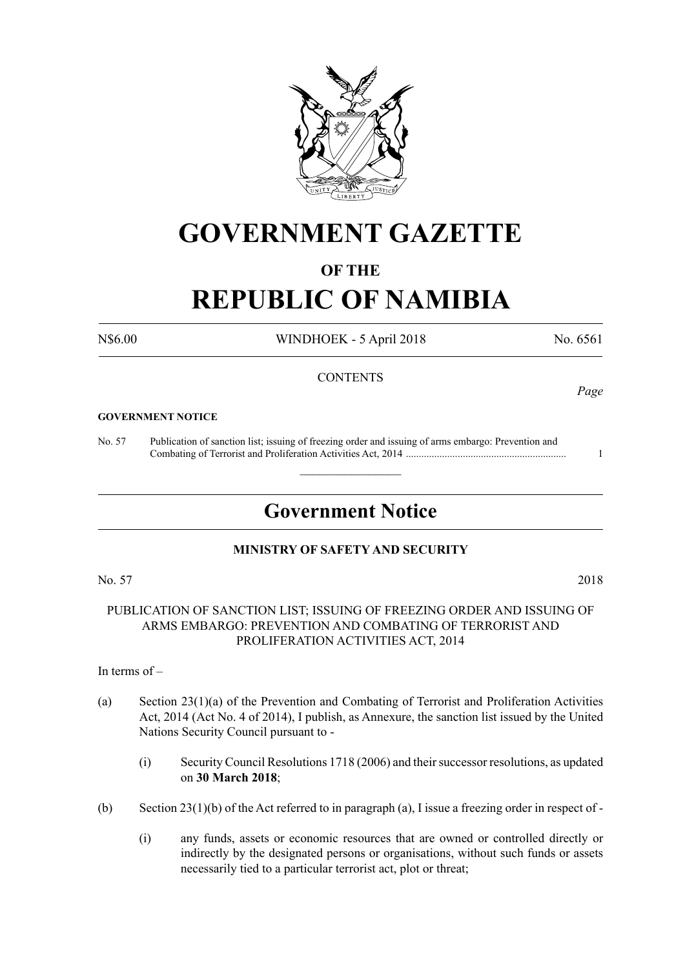

## **GOVERNMENT GAZETTE**

#### **OF THE**

# **REPUBLIC OF NAMIBIA**

N\$6.00 WINDHOEK - 5 April 2018 No. 6561

#### **CONTENTS**

#### **GOVERNMENT NOTICE**

No. 57 Publication of sanction list; issuing of freezing order and issuing of arms embargo: Prevention and Combating of Terrorist and Proliferation Activities Act, 2014 .............................................................. 1

### **Government Notice**

 $\overline{\phantom{a}}$  , where  $\overline{\phantom{a}}$ 

#### **MINISTRY OF SAFETY AND SECURITY**

No. 57 2018

PUBLICATION OF SANCTION LIST; ISSUING OF FREEZING ORDER AND ISSUING OF ARMS EMBARGO: PREVENTION AND COMBATING OF TERRORIST AND PROLIFERATION ACTIVITIES ACT, 2014

#### In terms of –

- (a) Section 23(1)(a) of the Prevention and Combating of Terrorist and Proliferation Activities Act, 2014 (Act No. 4 of 2014), I publish, as Annexure, the sanction list issued by the United Nations Security Council pursuant to -
	- (i) Security Council Resolutions 1718 (2006) and their successor resolutions, as updated on **30 March 2018**;
- (b) Section 23(1)(b) of the Act referred to in paragraph (a), I issue a freezing order in respect of
	- (i) any funds, assets or economic resources that are owned or controlled directly or indirectly by the designated persons or organisations, without such funds or assets necessarily tied to a particular terrorist act, plot or threat;

*Page*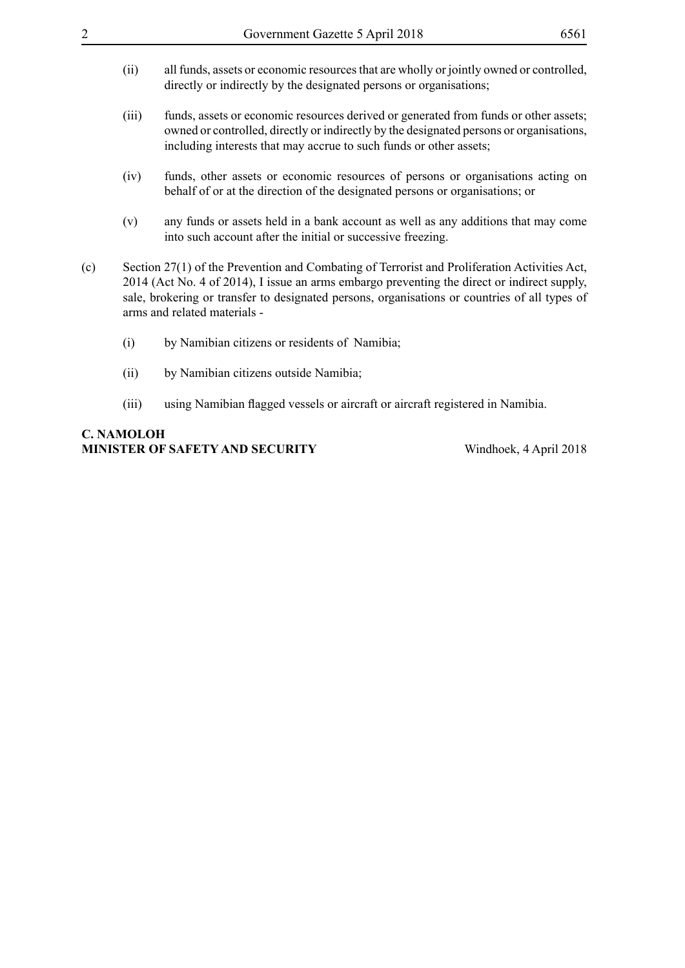- (ii) all funds, assets or economic resources that are wholly or jointly owned or controlled, directly or indirectly by the designated persons or organisations;
- (iii) funds, assets or economic resources derived or generated from funds or other assets; owned or controlled, directly or indirectly by the designated persons or organisations, including interests that may accrue to such funds or other assets;
- (iv) funds, other assets or economic resources of persons or organisations acting on behalf of or at the direction of the designated persons or organisations; or
- (v) any funds or assets held in a bank account as well as any additions that may come into such account after the initial or successive freezing.
- (c) Section 27(1) of the Prevention and Combating of Terrorist and Proliferation Activities Act, 2014 (Act No. 4 of 2014), I issue an arms embargo preventing the direct or indirect supply, sale, brokering or transfer to designated persons, organisations or countries of all types of arms and related materials -
	- (i) by Namibian citizens or residents of Namibia;
	- (ii) by Namibian citizens outside Namibia;
	- (iii) using Namibian flagged vessels or aircraft or aircraft registered in Namibia.

#### **C. Namoloh Minister of Safety and Security** Windhoek, 4 April 2018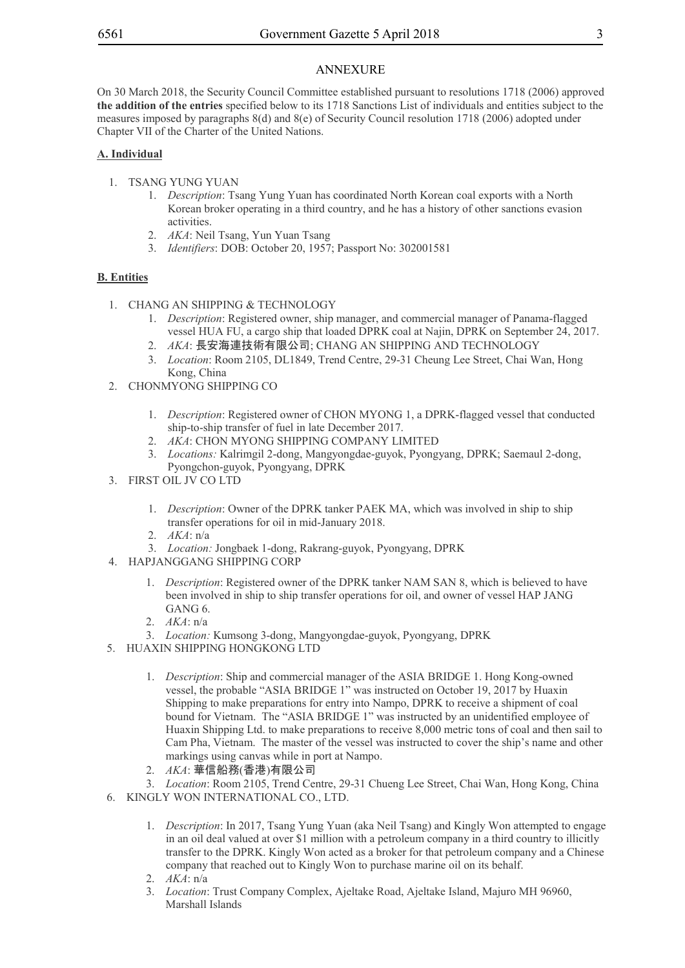#### ANNEXURE ANNEXURE

On 30 March 2018, the Security Council Committee established pursuant to resolutions 1718 (2006) approved **the addition of the entries** specified below to its 1718 Sanctions List of individuals and entities subject to the measures imposed by paragraphs 8(d) and 8(e) of Security Council resolution 1718 (2006) adopted under Chapter VII of the Charter of the United Nations.

#### **A. Individual**

- 1. TSANG YUNG YUAN
	- 1. *Description*: Tsang Yung Yuan has coordinated North Korean coal exports with a North Korean broker operating in a third country, and he has a history of other sanctions evasion activities.
	- 2. *AKA*: Neil Tsang, Yun Yuan Tsang
	- 3. *Identifiers*: DOB: October 20, 1957; Passport No: 302001581

#### **B. Entities**

- 1. CHANG AN SHIPPING & TECHNOLOGY
	- 1. *Description*: Registered owner, ship manager, and commercial manager of Panama-flagged vessel HUA FU, a cargo ship that loaded DPRK coal at Najin, DPRK on September 24, 2017.
	- 2. *AKA*: 長安海連技術有限公司; CHANG AN SHIPPING AND TECHNOLOGY
	- 3. *Location*: Room 2105, DL1849, Trend Centre, 29-31 Cheung Lee Street, Chai Wan, Hong Kong, China
- 2. CHONMYONG SHIPPING CO
	- 1. *Description*: Registered owner of CHON MYONG 1, a DPRK-flagged vessel that conducted ship-to-ship transfer of fuel in late December 2017.
	- 2. *AKA*: CHON MYONG SHIPPING COMPANY LIMITED
	- 3. *Locations:* Kalrimgil 2-dong, Mangyongdae-guyok, Pyongyang, DPRK; Saemaul 2-dong, Pyongchon-guyok, Pyongyang, DPRK
- 3. FIRST OIL JV CO LTD
	- 1. *Description*: Owner of the DPRK tanker PAEK MA, which was involved in ship to ship transfer operations for oil in mid-January 2018.
	- 2. *AKA*: n/a
	- 3. *Location:* Jongbaek 1-dong, Rakrang-guyok, Pyongyang, DPRK
- 4. HAPJANGGANG SHIPPING CORP
	- 1. *Description*: Registered owner of the DPRK tanker NAM SAN 8, which is believed to have been involved in ship to ship transfer operations for oil, and owner of vessel HAP JANG GANG 6.
	- 2. *AKA*: n/a
	- 3. *Location:* Kumsong 3-dong, Mangyongdae-guyok, Pyongyang, DPRK
- 5. HUAXIN SHIPPING HONGKONG LTD
	- 1. *Description*: Ship and commercial manager of the ASIA BRIDGE 1. Hong Kong-owned vessel, the probable "ASIA BRIDGE 1" was instructed on October 19, 2017 by Huaxin Shipping to make preparations for entry into Nampo, DPRK to receive a shipment of coal bound for Vietnam. The "ASIA BRIDGE 1" was instructed by an unidentified employee of Huaxin Shipping Ltd. to make preparations to receive 8,000 metric tons of coal and then sail to Cam Pha, Vietnam. The master of the vessel was instructed to cover the ship's name and other markings using canvas while in port at Nampo.
	- 2. *AKA*: 華信船務(香港)有限公司
- 3. *Location*: Room 2105, Trend Centre, 29-31 Chueng Lee Street, Chai Wan, Hong Kong, China 6. KINGLY WON INTERNATIONAL CO., LTD.
	- 1. *Description*: In 2017, Tsang Yung Yuan (aka Neil Tsang) and Kingly Won attempted to engage in an oil deal valued at over \$1 million with a petroleum company in a third country to illicitly transfer to the DPRK. Kingly Won acted as a broker for that petroleum company and a Chinese company that reached out to Kingly Won to purchase marine oil on its behalf.
	- 2. *AKA*: n/a
	- 3. *Location*: Trust Company Complex, Ajeltake Road, Ajeltake Island, Majuro MH 96960, Marshall Islands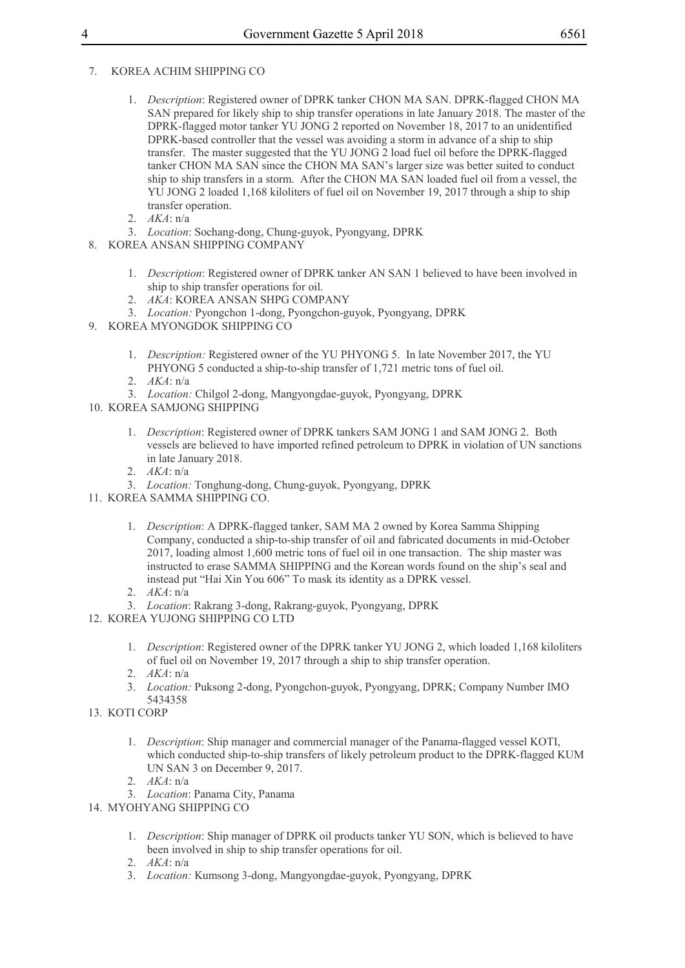#### 7. KOREA ACHIM SHIPPING CO

- 1. *Description*: Registered owner of DPRK tanker CHON MA SAN. DPRK-flagged CHON MA SAN prepared for likely ship to ship transfer operations in late January 2018. The master of the DPRK-flagged motor tanker YU JONG 2 reported on November 18, 2017 to an unidentified DPRK-based controller that the vessel was avoiding a storm in advance of a ship to ship transfer. The master suggested that the YU JONG 2 load fuel oil before the DPRK-flagged tanker CHON MA SAN since the CHON MA SAN's larger size was better suited to conduct ship to ship transfers in a storm. After the CHON MA SAN loaded fuel oil from a vessel, the YU JONG 2 loaded 1,168 kiloliters of fuel oil on November 19, 2017 through a ship to ship transfer operation.
- 2. *AKA*: n/a
- 3. *Location*: Sochang-dong, Chung-guyok, Pyongyang, DPRK
- 8. KOREA ANSAN SHIPPING COMPANY
	- 1. *Description*: Registered owner of DPRK tanker AN SAN 1 believed to have been involved in ship to ship transfer operations for oil.
	- 2. *AKA*: KOREA ANSAN SHPG COMPANY
	- 3. *Location:* Pyongchon 1-dong, Pyongchon-guyok, Pyongyang, DPRK
- 9. KOREA MYONGDOK SHIPPING CO
	- 1. *Description:* Registered owner of the YU PHYONG 5. In late November 2017, the YU PHYONG 5 conducted a ship-to-ship transfer of 1,721 metric tons of fuel oil.
	- 2. *AKA*: n/a
	- 3. *Location:* Chilgol 2-dong, Mangyongdae-guyok, Pyongyang, DPRK
- 10. KOREA SAMJONG SHIPPING
	- 1. *Description*: Registered owner of DPRK tankers SAM JONG 1 and SAM JONG 2. Both vessels are believed to have imported refined petroleum to DPRK in violation of UN sanctions in late January 2018.
	- 2. *AKA*: n/a
	- 3. *Location:* Tonghung-dong, Chung-guyok, Pyongyang, DPRK
- 11. KOREA SAMMA SHIPPING CO.
	- 1. *Description*: A DPRK-flagged tanker, SAM MA 2 owned by Korea Samma Shipping Company, conducted a ship-to-ship transfer of oil and fabricated documents in mid-October 2017, loading almost 1,600 metric tons of fuel oil in one transaction. The ship master was instructed to erase SAMMA SHIPPING and the Korean words found on the ship's seal and instead put "Hai Xin You 606" To mask its identity as a DPRK vessel.
	- 2. *AKA*: n/a
	- 3. *Location*: Rakrang 3-dong, Rakrang-guyok, Pyongyang, DPRK
- 12. KOREA YUJONG SHIPPING CO LTD
	- 1. *Description*: Registered owner of the DPRK tanker YU JONG 2, which loaded 1,168 kiloliters of fuel oil on November 19, 2017 through a ship to ship transfer operation.
	- 2. *AKA*: n/a
	- 3. *Location:* Puksong 2-dong, Pyongchon-guyok, Pyongyang, DPRK; Company Number IMO 5434358
- 13. KOTI CORP
	- 1. *Description*: Ship manager and commercial manager of the Panama-flagged vessel KOTI, which conducted ship-to-ship transfers of likely petroleum product to the DPRK-flagged KUM UN SAN 3 on December 9, 2017.
	- 2. *AKA*: n/a
	- 3. *Location*: Panama City, Panama
- 14. MYOHYANG SHIPPING CO
	- 1. *Description*: Ship manager of DPRK oil products tanker YU SON, which is believed to have been involved in ship to ship transfer operations for oil.
	- 2. *AKA*: n/a
	- 3. *Location:* Kumsong 3-dong, Mangyongdae-guyok, Pyongyang, DPRK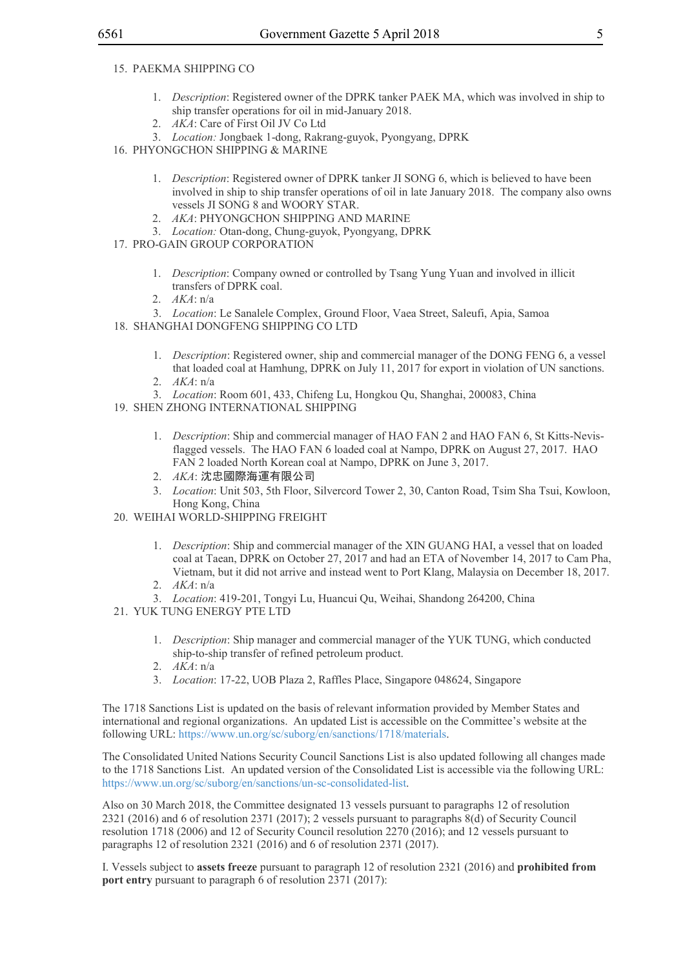- 15. PAEKMA SHIPPING CO
	- 1. *Description*: Registered owner of the DPRK tanker PAEK MA, which was involved in ship to ship transfer operations for oil in mid-January 2018.
	- 2. *AKA*: Care of First Oil JV Co Ltd
	- 3. *Location:* Jongbaek 1-dong, Rakrang-guyok, Pyongyang, DPRK
- 16. PHYONGCHON SHIPPING & MARINE
	- 1. *Description*: Registered owner of DPRK tanker JI SONG 6, which is believed to have been involved in ship to ship transfer operations of oil in late January 2018. The company also owns vessels JI SONG 8 and WOORY STAR.
	- 2. *AKA*: PHYONGCHON SHIPPING AND MARINE
	- 3. *Location:* Otan-dong, Chung-guyok, Pyongyang, DPRK
- 17. PRO-GAIN GROUP CORPORATION
	- 1. *Description*: Company owned or controlled by Tsang Yung Yuan and involved in illicit transfers of DPRK coal.
	- 2. *AKA*: n/a
	- 3. *Location*: Le Sanalele Complex, Ground Floor, Vaea Street, Saleufi, Apia, Samoa
- 18. SHANGHAI DONGFENG SHIPPING CO LTD
	- 1. *Description*: Registered owner, ship and commercial manager of the DONG FENG 6, a vessel that loaded coal at Hamhung, DPRK on July 11, 2017 for export in violation of UN sanctions. 2. *AKA*: n/a
	- 3. *Location*: Room 601, 433, Chifeng Lu, Hongkou Qu, Shanghai, 200083, China
- 19. SHEN ZHONG INTERNATIONAL SHIPPING
	- 1. *Description*: Ship and commercial manager of HAO FAN 2 and HAO FAN 6, St Kitts-Nevisflagged vessels. The HAO FAN 6 loaded coal at Nampo, DPRK on August 27, 2017. HAO FAN 2 loaded North Korean coal at Nampo, DPRK on June 3, 2017.
	- 2. *AKA*: 沈忠國際海運有限公司
	- 3. *Location*: Unit 503, 5th Floor, Silvercord Tower 2, 30, Canton Road, Tsim Sha Tsui, Kowloon, Hong Kong, China
- 20. WEIHAI WORLD-SHIPPING FREIGHT
	- 1. *Description*: Ship and commercial manager of the XIN GUANG HAI, a vessel that on loaded coal at Taean, DPRK on October 27, 2017 and had an ETA of November 14, 2017 to Cam Pha, Vietnam, but it did not arrive and instead went to Port Klang, Malaysia on December 18, 2017.
	- 2. *AKA*: n/a
	- 3. *Location*: 419-201, Tongyi Lu, Huancui Qu, Weihai, Shandong 264200, China
- 21. YUK TUNG ENERGY PTE LTD
	- 1. *Description*: Ship manager and commercial manager of the YUK TUNG, which conducted ship-to-ship transfer of refined petroleum product.
	- 2. *AKA*: n/a
	- 3. *Location*: 17-22, UOB Plaza 2, Raffles Place, Singapore 048624, Singapore

The 1718 Sanctions List is updated on the basis of relevant information provided by Member States and international and regional organizations. An updated List is accessible on the Committee's website at the following URL: https://www.un.org/sc/suborg/en/sanctions/1718/materials.

The Consolidated United Nations Security Council Sanctions List is also updated following all changes made to the 1718 Sanctions List. An updated version of the Consolidated List is accessible via the following URL: https://www.un.org/sc/suborg/en/sanctions/un-sc-consolidated-list.

Also on 30 March 2018, the Committee designated 13 vessels pursuant to paragraphs 12 of resolution 2321 (2016) and 6 of resolution 2371 (2017); 2 vessels pursuant to paragraphs 8(d) of Security Council resolution 1718 (2006) and 12 of Security Council resolution 2270 (2016); and 12 vessels pursuant to paragraphs 12 of resolution 2321 (2016) and 6 of resolution 2371 (2017).

I. Vessels subject to **assets freeze** pursuant to paragraph 12 of resolution 2321 (2016) and **prohibited from port entry** pursuant to paragraph 6 of resolution 2371 (2017):